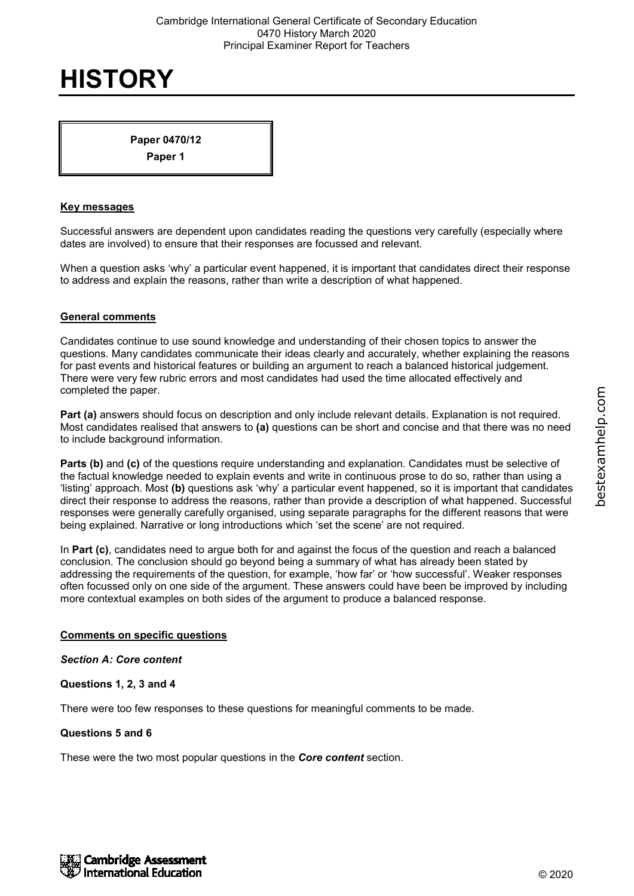**Paper 0470/12**

**Paper 1**

## **Key messages**

Successful answers are dependent upon candidates reading the questions very carefully (especially where dates are involved) to ensure that their responses are focussed and relevant.

When a question asks 'why' a particular event happened, it is important that candidates direct their response to address and explain the reasons, rather than write a description of what happened.

## **General comments**

Candidates continue to use sound knowledge and understanding of their chosen topics to answer the questions. Many candidates communicate their ideas clearly and accurately, whether explaining the reasons for past events and historical features or building an argument to reach a balanced historical judgement. There were very few rubric errors and most candidates had used the time allocated effectively and completed the paper.

**Part (a)** answers should focus on description and only include relevant details. Explanation is not required. Most candidates realised that answers to **(a)** questions can be short and concise and that there was no need to include background information.

**Parts (b)** and (c) of the questions require understanding and explanation. Candidates must be selective of the factual knowledge needed to explain events and write in continuous prose to do so, rather than using a 'listing' approach. Most **(b)** questions ask 'why' a particular event happened, so it is important that candidates direct their response to address the reasons, rather than provide a description of what happened. Successful responses were generally carefully organised, using separate paragraphs for the different reasons that were being explained. Narrative or long introductions which 'set the scene' are not required.

In **Part (c)**, candidates need to argue both for and against the focus of the question and reach a balanced conclusion. The conclusion should go beyond being a summary of what has already been stated by addressing the requirements of the question, for example, 'how far' or 'how successful'. Weaker responses often focussed only on one side of the argument. These answers could have been be improved by including more contextual examples on both sides of the argument to produce a balanced response.

## **Comments on specific questions**

#### *Section A: Core content*

## **Questions 1, 2, 3 and 4**

There were too few responses to these questions for meaningful comments to be made.

#### **Questions 5 and 6**

These were the two most popular questions in the *Core content* section.

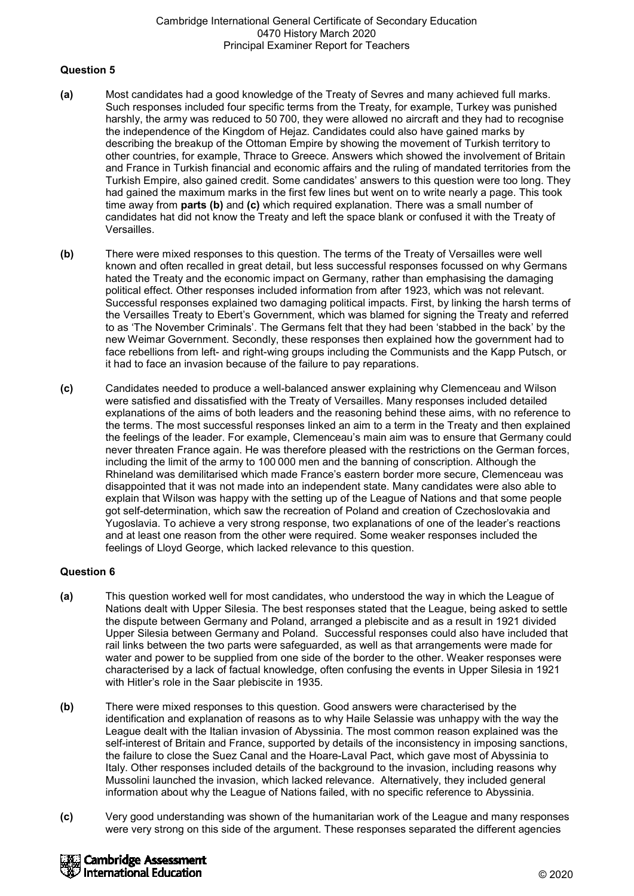#### **Question 5**

- **(a)** Most candidates had a good knowledge of the Treaty of Sevres and many achieved full marks. Such responses included four specific terms from the Treaty, for example, Turkey was punished harshly, the army was reduced to 50 700, they were allowed no aircraft and they had to recognise the independence of the Kingdom of Hejaz. Candidates could also have gained marks by describing the breakup of the Ottoman Empire by showing the movement of Turkish territory to other countries, for example, Thrace to Greece. Answers which showed the involvement of Britain and France in Turkish financial and economic affairs and the ruling of mandated territories from the Turkish Empire, also gained credit. Some candidates' answers to this question were too long. They had gained the maximum marks in the first few lines but went on to write nearly a page. This took time away from **parts (b)** and **(c)** which required explanation. There was a small number of candidates hat did not know the Treaty and left the space blank or confused it with the Treaty of Versailles.
- **(b)** There were mixed responses to this question. The terms of the Treaty of Versailles were well known and often recalled in great detail, but less successful responses focussed on why Germans hated the Treaty and the economic impact on Germany, rather than emphasising the damaging political effect. Other responses included information from after 1923, which was not relevant. Successful responses explained two damaging political impacts. First, by linking the harsh terms of the Versailles Treaty to Ebert's Government, which was blamed for signing the Treaty and referred to as 'The November Criminals'. The Germans felt that they had been 'stabbed in the back' by the new Weimar Government. Secondly, these responses then explained how the government had to face rebellions from left- and right-wing groups including the Communists and the Kapp Putsch, or it had to face an invasion because of the failure to pay reparations.
- **(c)** Candidates needed to produce a well-balanced answer explaining why Clemenceau and Wilson were satisfied and dissatisfied with the Treaty of Versailles. Many responses included detailed explanations of the aims of both leaders and the reasoning behind these aims, with no reference to the terms. The most successful responses linked an aim to a term in the Treaty and then explained the feelings of the leader. For example, Clemenceau's main aim was to ensure that Germany could never threaten France again. He was therefore pleased with the restrictions on the German forces, including the limit of the army to 100 000 men and the banning of conscription. Although the Rhineland was demilitarised which made France's eastern border more secure, Clemenceau was disappointed that it was not made into an independent state. Many candidates were also able to explain that Wilson was happy with the setting up of the League of Nations and that some people got self-determination, which saw the recreation of Poland and creation of Czechoslovakia and Yugoslavia. To achieve a very strong response, two explanations of one of the leader's reactions and at least one reason from the other were required. Some weaker responses included the feelings of Lloyd George, which lacked relevance to this question.

## **Question 6**

- **(a)** This question worked well for most candidates, who understood the way in which the League of Nations dealt with Upper Silesia. The best responses stated that the League, being asked to settle the dispute between Germany and Poland, arranged a plebiscite and as a result in 1921 divided Upper Silesia between Germany and Poland. Successful responses could also have included that rail links between the two parts were safeguarded, as well as that arrangements were made for water and power to be supplied from one side of the border to the other. Weaker responses were characterised by a lack of factual knowledge, often confusing the events in Upper Silesia in 1921 with Hitler's role in the Saar plebiscite in 1935.
- **(b)** There were mixed responses to this question. Good answers were characterised by the identification and explanation of reasons as to why Haile Selassie was unhappy with the way the League dealt with the Italian invasion of Abyssinia. The most common reason explained was the self-interest of Britain and France, supported by details of the inconsistency in imposing sanctions, the failure to close the Suez Canal and the Hoare-Laval Pact, which gave most of Abyssinia to Italy. Other responses included details of the background to the invasion, including reasons why Mussolini launched the invasion, which lacked relevance. Alternatively, they included general information about why the League of Nations failed, with no specific reference to Abyssinia.
- **(c)** Very good understanding was shown of the humanitarian work of the League and many responses were very strong on this side of the argument. These responses separated the different agencies

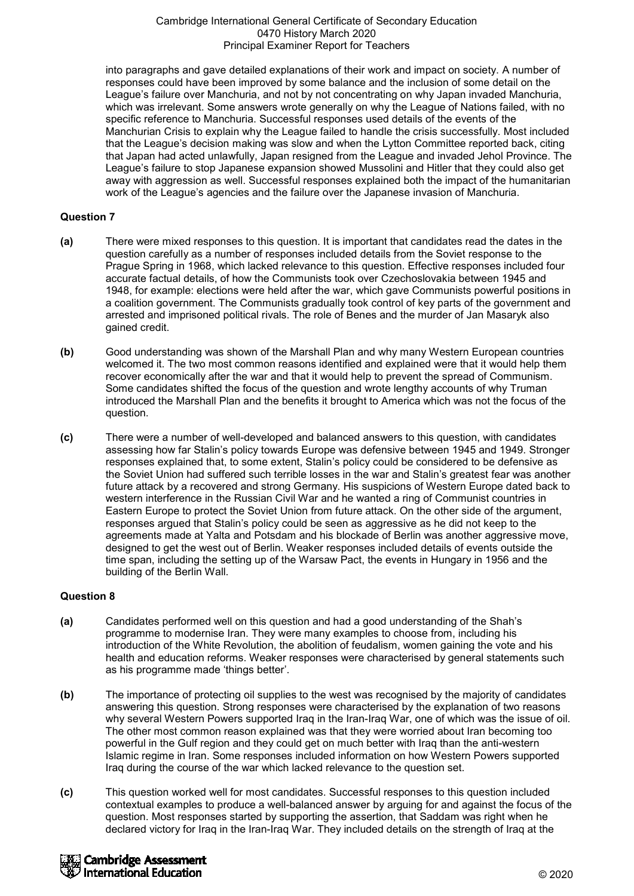into paragraphs and gave detailed explanations of their work and impact on society. A number of responses could have been improved by some balance and the inclusion of some detail on the League's failure over Manchuria, and not by not concentrating on why Japan invaded Manchuria, which was irrelevant. Some answers wrote generally on why the League of Nations failed, with no specific reference to Manchuria. Successful responses used details of the events of the Manchurian Crisis to explain why the League failed to handle the crisis successfully. Most included that the League's decision making was slow and when the Lytton Committee reported back, citing that Japan had acted unlawfully, Japan resigned from the League and invaded Jehol Province. The League's failure to stop Japanese expansion showed Mussolini and Hitler that they could also get away with aggression as well. Successful responses explained both the impact of the humanitarian work of the League's agencies and the failure over the Japanese invasion of Manchuria.

## **Question 7**

- **(a)** There were mixed responses to this question. It is important that candidates read the dates in the question carefully as a number of responses included details from the Soviet response to the Prague Spring in 1968, which lacked relevance to this question. Effective responses included four accurate factual details, of how the Communists took over Czechoslovakia between 1945 and 1948, for example: elections were held after the war, which gave Communists powerful positions in a coalition government. The Communists gradually took control of key parts of the government and arrested and imprisoned political rivals. The role of Benes and the murder of Jan Masaryk also gained credit.
- **(b)** Good understanding was shown of the Marshall Plan and why many Western European countries welcomed it. The two most common reasons identified and explained were that it would help them recover economically after the war and that it would help to prevent the spread of Communism. Some candidates shifted the focus of the question and wrote lengthy accounts of why Truman introduced the Marshall Plan and the benefits it brought to America which was not the focus of the question.
- **(c)** There were a number of well-developed and balanced answers to this question, with candidates assessing how far Stalin's policy towards Europe was defensive between 1945 and 1949. Stronger responses explained that, to some extent, Stalin's policy could be considered to be defensive as the Soviet Union had suffered such terrible losses in the war and Stalin's greatest fear was another future attack by a recovered and strong Germany. His suspicions of Western Europe dated back to western interference in the Russian Civil War and he wanted a ring of Communist countries in Eastern Europe to protect the Soviet Union from future attack. On the other side of the argument, responses argued that Stalin's policy could be seen as aggressive as he did not keep to the agreements made at Yalta and Potsdam and his blockade of Berlin was another aggressive move, designed to get the west out of Berlin. Weaker responses included details of events outside the time span, including the setting up of the Warsaw Pact, the events in Hungary in 1956 and the building of the Berlin Wall.

## **Question 8**

- **(a)** Candidates performed well on this question and had a good understanding of the Shah's programme to modernise Iran. They were many examples to choose from, including his introduction of the White Revolution, the abolition of feudalism, women gaining the vote and his health and education reforms. Weaker responses were characterised by general statements such as his programme made 'things better'.
- **(b)** The importance of protecting oil supplies to the west was recognised by the majority of candidates answering this question. Strong responses were characterised by the explanation of two reasons why several Western Powers supported Iraq in the Iran-Iraq War, one of which was the issue of oil. The other most common reason explained was that they were worried about Iran becoming too powerful in the Gulf region and they could get on much better with Iraq than the anti-western Islamic regime in Iran. Some responses included information on how Western Powers supported Iraq during the course of the war which lacked relevance to the question set.
- **(c)** This question worked well for most candidates. Successful responses to this question included contextual examples to produce a well-balanced answer by arguing for and against the focus of the question. Most responses started by supporting the assertion, that Saddam was right when he declared victory for Iraq in the Iran-Iraq War. They included details on the strength of Iraq at the

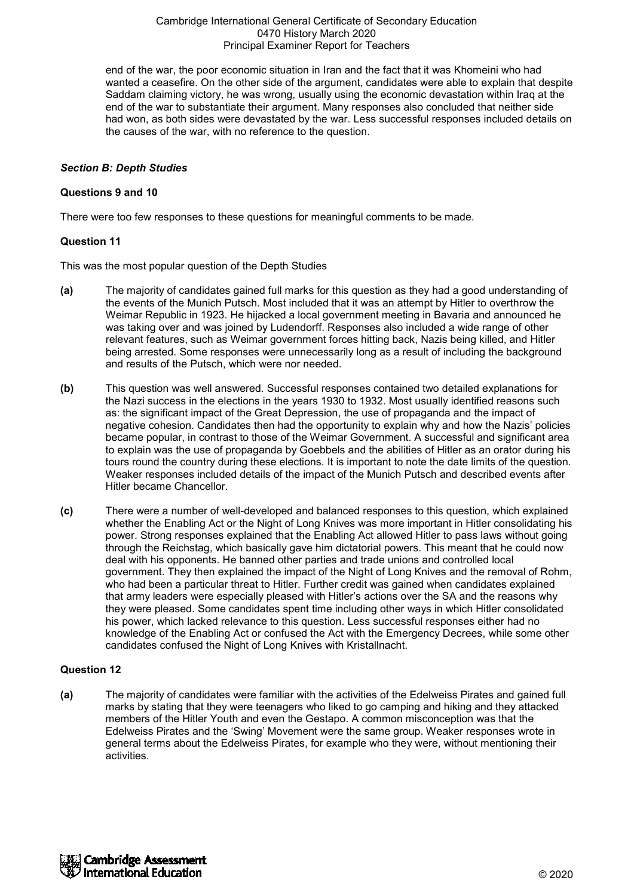end of the war, the poor economic situation in Iran and the fact that it was Khomeini who had wanted a ceasefire. On the other side of the argument, candidates were able to explain that despite Saddam claiming victory, he was wrong, usually using the economic devastation within Iraq at the end of the war to substantiate their argument. Many responses also concluded that neither side had won, as both sides were devastated by the war. Less successful responses included details on the causes of the war, with no reference to the question.

## *Section B: Depth Studies*

#### **Questions 9 and 10**

There were too few responses to these questions for meaningful comments to be made.

#### **Question 11**

This was the most popular question of the Depth Studies

- **(a)** The majority of candidates gained full marks for this question as they had a good understanding of the events of the Munich Putsch. Most included that it was an attempt by Hitler to overthrow the Weimar Republic in 1923. He hijacked a local government meeting in Bavaria and announced he was taking over and was joined by Ludendorff. Responses also included a wide range of other relevant features, such as Weimar government forces hitting back, Nazis being killed, and Hitler being arrested. Some responses were unnecessarily long as a result of including the background and results of the Putsch, which were nor needed.
- **(b)** This question was well answered. Successful responses contained two detailed explanations for the Nazi success in the elections in the years 1930 to 1932. Most usually identified reasons such as: the significant impact of the Great Depression, the use of propaganda and the impact of negative cohesion. Candidates then had the opportunity to explain why and how the Nazis' policies became popular, in contrast to those of the Weimar Government. A successful and significant area to explain was the use of propaganda by Goebbels and the abilities of Hitler as an orator during his tours round the country during these elections. It is important to note the date limits of the question. Weaker responses included details of the impact of the Munich Putsch and described events after Hitler became Chancellor.
- **(c)** There were a number of well-developed and balanced responses to this question, which explained whether the Enabling Act or the Night of Long Knives was more important in Hitler consolidating his power. Strong responses explained that the Enabling Act allowed Hitler to pass laws without going through the Reichstag, which basically gave him dictatorial powers. This meant that he could now deal with his opponents. He banned other parties and trade unions and controlled local government. They then explained the impact of the Night of Long Knives and the removal of Rohm, who had been a particular threat to Hitler. Further credit was gained when candidates explained that army leaders were especially pleased with Hitler's actions over the SA and the reasons why they were pleased. Some candidates spent time including other ways in which Hitler consolidated his power, which lacked relevance to this question. Less successful responses either had no knowledge of the Enabling Act or confused the Act with the Emergency Decrees, while some other candidates confused the Night of Long Knives with Kristallnacht.

#### **Question 12**

**(a)** The majority of candidates were familiar with the activities of the Edelweiss Pirates and gained full marks by stating that they were teenagers who liked to go camping and hiking and they attacked members of the Hitler Youth and even the Gestapo. A common misconception was that the Edelweiss Pirates and the 'Swing' Movement were the same group. Weaker responses wrote in general terms about the Edelweiss Pirates, for example who they were, without mentioning their activities.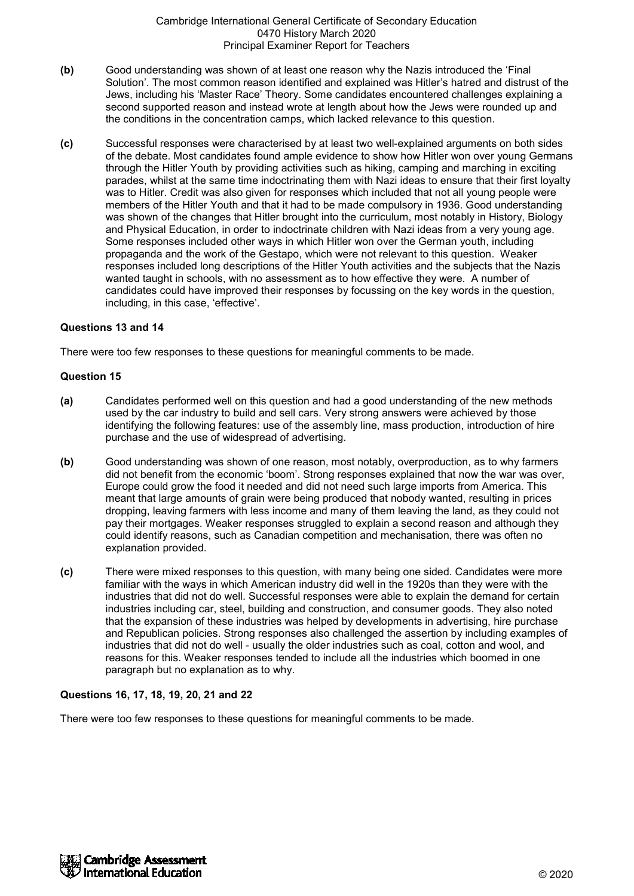- **(b)** Good understanding was shown of at least one reason why the Nazis introduced the 'Final Solution'. The most common reason identified and explained was Hitler's hatred and distrust of the Jews, including his 'Master Race' Theory. Some candidates encountered challenges explaining a second supported reason and instead wrote at length about how the Jews were rounded up and the conditions in the concentration camps, which lacked relevance to this question.
- **(c)** Successful responses were characterised by at least two well-explained arguments on both sides of the debate. Most candidates found ample evidence to show how Hitler won over young Germans through the Hitler Youth by providing activities such as hiking, camping and marching in exciting parades, whilst at the same time indoctrinating them with Nazi ideas to ensure that their first loyalty was to Hitler. Credit was also given for responses which included that not all young people were members of the Hitler Youth and that it had to be made compulsory in 1936. Good understanding was shown of the changes that Hitler brought into the curriculum, most notably in History, Biology and Physical Education, in order to indoctrinate children with Nazi ideas from a very young age. Some responses included other ways in which Hitler won over the German youth, including propaganda and the work of the Gestapo, which were not relevant to this question. Weaker responses included long descriptions of the Hitler Youth activities and the subjects that the Nazis wanted taught in schools, with no assessment as to how effective they were. A number of candidates could have improved their responses by focussing on the key words in the question, including, in this case, 'effective'.

## **Questions 13 and 14**

There were too few responses to these questions for meaningful comments to be made.

#### **Question 15**

- **(a)** Candidates performed well on this question and had a good understanding of the new methods used by the car industry to build and sell cars. Very strong answers were achieved by those identifying the following features: use of the assembly line, mass production, introduction of hire purchase and the use of widespread of advertising.
- **(b)** Good understanding was shown of one reason, most notably, overproduction, as to why farmers did not benefit from the economic 'boom'. Strong responses explained that now the war was over, Europe could grow the food it needed and did not need such large imports from America. This meant that large amounts of grain were being produced that nobody wanted, resulting in prices dropping, leaving farmers with less income and many of them leaving the land, as they could not pay their mortgages. Weaker responses struggled to explain a second reason and although they could identify reasons, such as Canadian competition and mechanisation, there was often no explanation provided.
- **(c)** There were mixed responses to this question, with many being one sided. Candidates were more familiar with the ways in which American industry did well in the 1920s than they were with the industries that did not do well. Successful responses were able to explain the demand for certain industries including car, steel, building and construction, and consumer goods. They also noted that the expansion of these industries was helped by developments in advertising, hire purchase and Republican policies. Strong responses also challenged the assertion by including examples of industries that did not do well - usually the older industries such as coal, cotton and wool, and reasons for this. Weaker responses tended to include all the industries which boomed in one paragraph but no explanation as to why.

## **Questions 16, 17, 18, 19, 20, 21 and 22**

There were too few responses to these questions for meaningful comments to be made.

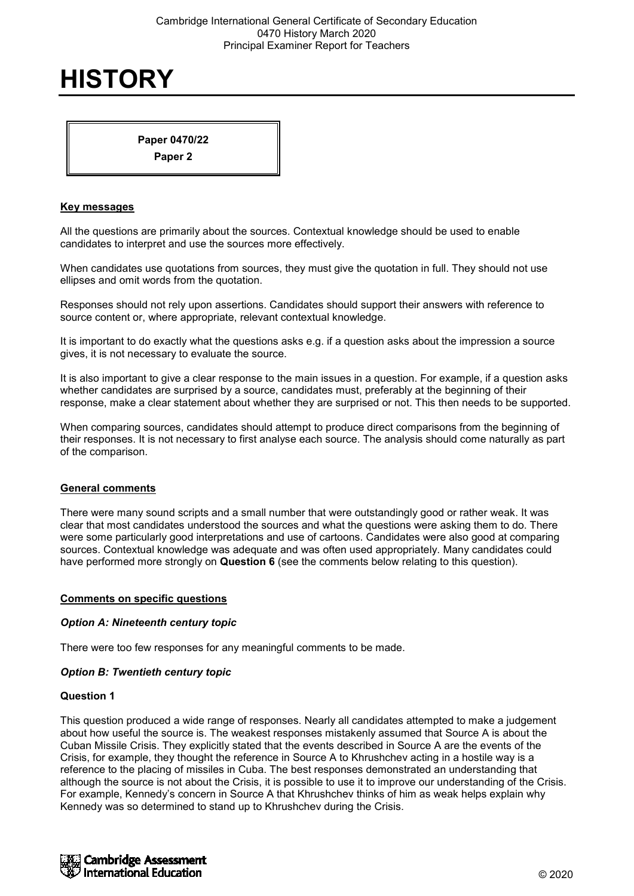**Paper 0470/22**

**Paper 2**

#### **Key messages**

All the questions are primarily about the sources. Contextual knowledge should be used to enable candidates to interpret and use the sources more effectively.

When candidates use quotations from sources, they must give the quotation in full. They should not use ellipses and omit words from the quotation.

Responses should not rely upon assertions. Candidates should support their answers with reference to source content or, where appropriate, relevant contextual knowledge.

It is important to do exactly what the questions asks e.g. if a question asks about the impression a source gives, it is not necessary to evaluate the source.

It is also important to give a clear response to the main issues in a question. For example, if a question asks whether candidates are surprised by a source, candidates must, preferably at the beginning of their response, make a clear statement about whether they are surprised or not. This then needs to be supported.

When comparing sources, candidates should attempt to produce direct comparisons from the beginning of their responses. It is not necessary to first analyse each source. The analysis should come naturally as part of the comparison.

## **General comments**

There were many sound scripts and a small number that were outstandingly good or rather weak. It was clear that most candidates understood the sources and what the questions were asking them to do. There were some particularly good interpretations and use of cartoons. Candidates were also good at comparing sources. Contextual knowledge was adequate and was often used appropriately. Many candidates could have performed more strongly on **Question 6** (see the comments below relating to this question).

#### **Comments on specific questions**

#### *Option A: Nineteenth century topic*

There were too few responses for any meaningful comments to be made.

#### *Option B: Twentieth century topic*

#### **Question 1**

This question produced a wide range of responses. Nearly all candidates attempted to make a judgement about how useful the source is. The weakest responses mistakenly assumed that Source A is about the Cuban Missile Crisis. They explicitly stated that the events described in Source A are the events of the Crisis, for example, they thought the reference in Source A to Khrushchev acting in a hostile way is a reference to the placing of missiles in Cuba. The best responses demonstrated an understanding that although the source is not about the Crisis, it is possible to use it to improve our understanding of the Crisis. For example, Kennedy's concern in Source A that Khrushchev thinks of him as weak helps explain why Kennedy was so determined to stand up to Khrushchev during the Crisis.

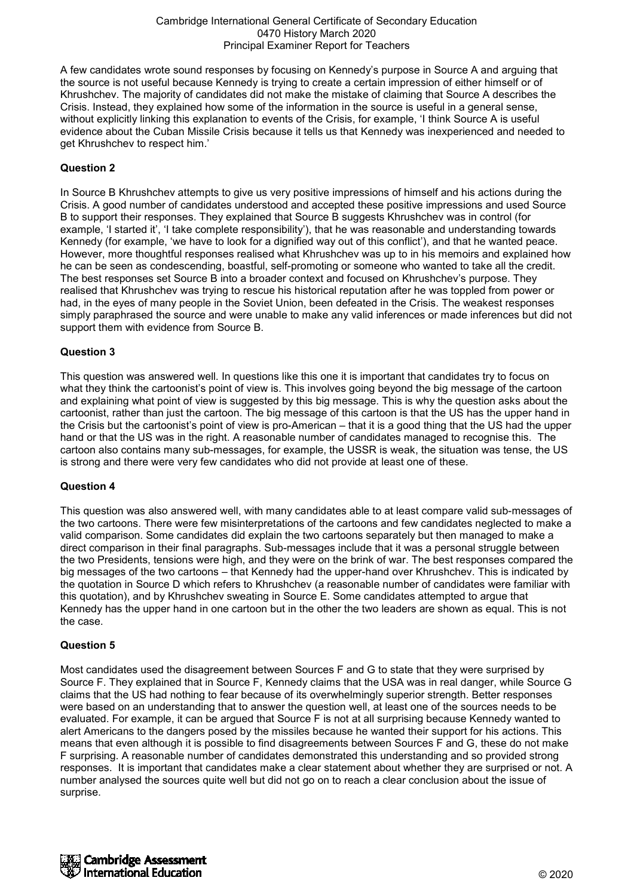A few candidates wrote sound responses by focusing on Kennedy's purpose in Source A and arguing that the source is not useful because Kennedy is trying to create a certain impression of either himself or of Khrushchev. The majority of candidates did not make the mistake of claiming that Source A describes the Crisis. Instead, they explained how some of the information in the source is useful in a general sense, without explicitly linking this explanation to events of the Crisis, for example, 'I think Source A is useful evidence about the Cuban Missile Crisis because it tells us that Kennedy was inexperienced and needed to get Khrushchev to respect him.'

## **Question 2**

In Source B Khrushchev attempts to give us very positive impressions of himself and his actions during the Crisis. A good number of candidates understood and accepted these positive impressions and used Source B to support their responses. They explained that Source B suggests Khrushchev was in control (for example, 'I started it', 'I take complete responsibility'), that he was reasonable and understanding towards Kennedy (for example, 'we have to look for a dignified way out of this conflict'), and that he wanted peace. However, more thoughtful responses realised what Khrushchev was up to in his memoirs and explained how he can be seen as condescending, boastful, self-promoting or someone who wanted to take all the credit. The best responses set Source B into a broader context and focused on Khrushchev's purpose. They realised that Khrushchev was trying to rescue his historical reputation after he was toppled from power or had, in the eyes of many people in the Soviet Union, been defeated in the Crisis. The weakest responses simply paraphrased the source and were unable to make any valid inferences or made inferences but did not support them with evidence from Source B.

## **Question 3**

This question was answered well. In questions like this one it is important that candidates try to focus on what they think the cartoonist's point of view is. This involves going beyond the big message of the cartoon and explaining what point of view is suggested by this big message. This is why the question asks about the cartoonist, rather than just the cartoon. The big message of this cartoon is that the US has the upper hand in the Crisis but the cartoonist's point of view is pro-American – that it is a good thing that the US had the upper hand or that the US was in the right. A reasonable number of candidates managed to recognise this. The cartoon also contains many sub-messages, for example, the USSR is weak, the situation was tense, the US is strong and there were very few candidates who did not provide at least one of these.

## **Question 4**

This question was also answered well, with many candidates able to at least compare valid sub-messages of the two cartoons. There were few misinterpretations of the cartoons and few candidates neglected to make a valid comparison. Some candidates did explain the two cartoons separately but then managed to make a direct comparison in their final paragraphs. Sub-messages include that it was a personal struggle between the two Presidents, tensions were high, and they were on the brink of war. The best responses compared the big messages of the two cartoons – that Kennedy had the upper-hand over Khrushchev. This is indicated by the quotation in Source D which refers to Khrushchev (a reasonable number of candidates were familiar with this quotation), and by Khrushchev sweating in Source E. Some candidates attempted to argue that Kennedy has the upper hand in one cartoon but in the other the two leaders are shown as equal. This is not the case.

## **Question 5**

Most candidates used the disagreement between Sources F and G to state that they were surprised by Source F. They explained that in Source F, Kennedy claims that the USA was in real danger, while Source G claims that the US had nothing to fear because of its overwhelmingly superior strength. Better responses were based on an understanding that to answer the question well, at least one of the sources needs to be evaluated. For example, it can be argued that Source F is not at all surprising because Kennedy wanted to alert Americans to the dangers posed by the missiles because he wanted their support for his actions. This means that even although it is possible to find disagreements between Sources F and G, these do not make F surprising. A reasonable number of candidates demonstrated this understanding and so provided strong responses. It is important that candidates make a clear statement about whether they are surprised or not. A number analysed the sources quite well but did not go on to reach a clear conclusion about the issue of surprise.

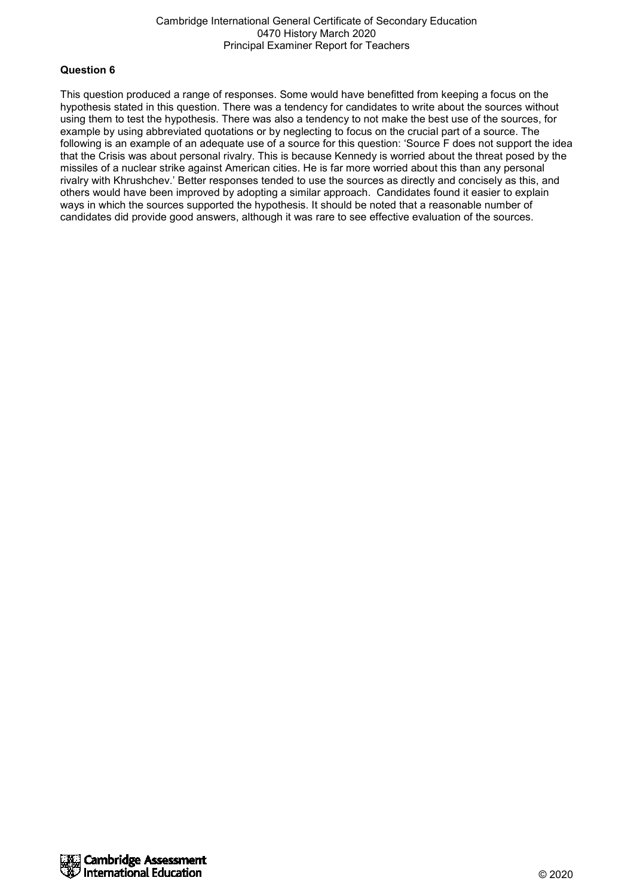#### **Question 6**

This question produced a range of responses. Some would have benefitted from keeping a focus on the hypothesis stated in this question. There was a tendency for candidates to write about the sources without using them to test the hypothesis. There was also a tendency to not make the best use of the sources, for example by using abbreviated quotations or by neglecting to focus on the crucial part of a source. The following is an example of an adequate use of a source for this question: 'Source F does not support the idea that the Crisis was about personal rivalry. This is because Kennedy is worried about the threat posed by the missiles of a nuclear strike against American cities. He is far more worried about this than any personal rivalry with Khrushchev.' Better responses tended to use the sources as directly and concisely as this, and others would have been improved by adopting a similar approach. Candidates found it easier to explain ways in which the sources supported the hypothesis. It should be noted that a reasonable number of candidates did provide good answers, although it was rare to see effective evaluation of the sources.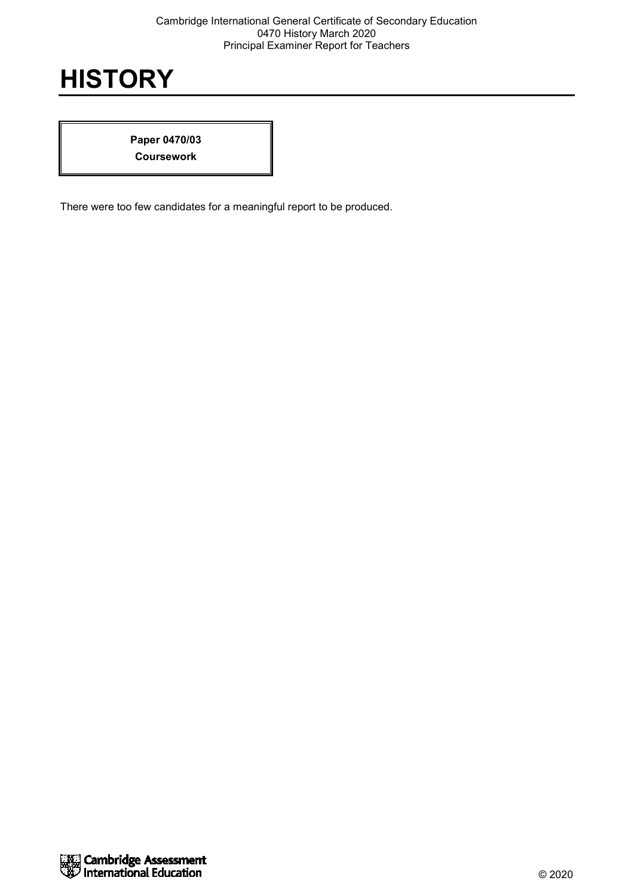**Paper 0470/03 Coursework**

There were too few candidates for a meaningful report to be produced.

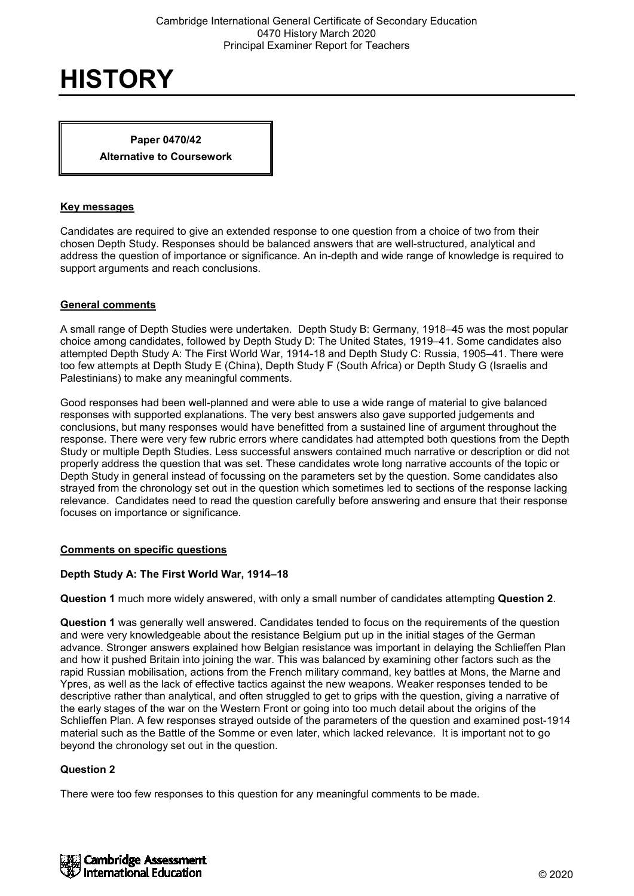#### **Paper 0470/42**

**Alternative to Coursework**

#### **Key messages**

Candidates are required to give an extended response to one question from a choice of two from their chosen Depth Study. Responses should be balanced answers that are well-structured, analytical and address the question of importance or significance. An in-depth and wide range of knowledge is required to support arguments and reach conclusions.

## **General comments**

A small range of Depth Studies were undertaken. Depth Study B: Germany, 1918–45 was the most popular choice among candidates, followed by Depth Study D: The United States, 1919–41. Some candidates also attempted Depth Study A: The First World War, 1914-18 and Depth Study C: Russia, 1905–41. There were too few attempts at Depth Study E (China), Depth Study F (South Africa) or Depth Study G (Israelis and Palestinians) to make any meaningful comments.

Good responses had been well-planned and were able to use a wide range of material to give balanced responses with supported explanations. The very best answers also gave supported judgements and conclusions, but many responses would have benefitted from a sustained line of argument throughout the response. There were very few rubric errors where candidates had attempted both questions from the Depth Study or multiple Depth Studies. Less successful answers contained much narrative or description or did not properly address the question that was set. These candidates wrote long narrative accounts of the topic or Depth Study in general instead of focussing on the parameters set by the question. Some candidates also strayed from the chronology set out in the question which sometimes led to sections of the response lacking relevance. Candidates need to read the question carefully before answering and ensure that their response focuses on importance or significance.

## **Comments on specific questions**

#### **Depth Study A: The First World War, 1914–18**

**Question 1** much more widely answered, with only a small number of candidates attempting **Question 2**.

**Question 1** was generally well answered. Candidates tended to focus on the requirements of the question and were very knowledgeable about the resistance Belgium put up in the initial stages of the German advance. Stronger answers explained how Belgian resistance was important in delaying the Schlieffen Plan and how it pushed Britain into joining the war. This was balanced by examining other factors such as the rapid Russian mobilisation, actions from the French military command, key battles at Mons, the Marne and Ypres, as well as the lack of effective tactics against the new weapons. Weaker responses tended to be descriptive rather than analytical, and often struggled to get to grips with the question, giving a narrative of the early stages of the war on the Western Front or going into too much detail about the origins of the Schlieffen Plan. A few responses strayed outside of the parameters of the question and examined post-1914 material such as the Battle of the Somme or even later, which lacked relevance. It is important not to go beyond the chronology set out in the question.

## **Question 2**

There were too few responses to this question for any meaningful comments to be made.

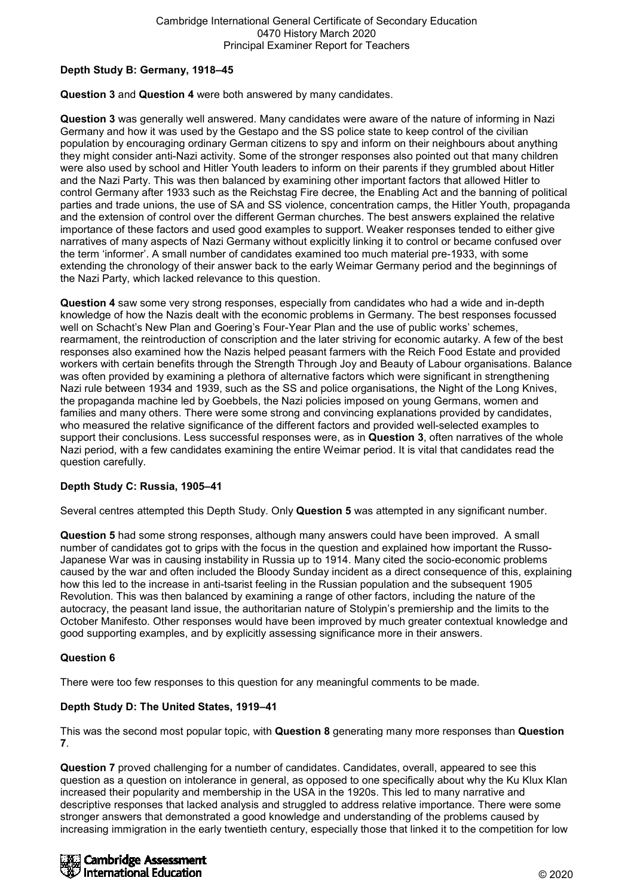## **Depth Study B: Germany, 1918–45**

## **Question 3** and **Question 4** were both answered by many candidates.

**Question 3** was generally well answered. Many candidates were aware of the nature of informing in Nazi Germany and how it was used by the Gestapo and the SS police state to keep control of the civilian population by encouraging ordinary German citizens to spy and inform on their neighbours about anything they might consider anti-Nazi activity. Some of the stronger responses also pointed out that many children were also used by school and Hitler Youth leaders to inform on their parents if they grumbled about Hitler and the Nazi Party. This was then balanced by examining other important factors that allowed Hitler to control Germany after 1933 such as the Reichstag Fire decree, the Enabling Act and the banning of political parties and trade unions, the use of SA and SS violence, concentration camps, the Hitler Youth, propaganda and the extension of control over the different German churches. The best answers explained the relative importance of these factors and used good examples to support. Weaker responses tended to either give narratives of many aspects of Nazi Germany without explicitly linking it to control or became confused over the term 'informer'. A small number of candidates examined too much material pre-1933, with some extending the chronology of their answer back to the early Weimar Germany period and the beginnings of the Nazi Party, which lacked relevance to this question.

**Question 4** saw some very strong responses, especially from candidates who had a wide and in-depth knowledge of how the Nazis dealt with the economic problems in Germany. The best responses focussed well on Schacht's New Plan and Goering's Four-Year Plan and the use of public works' schemes, rearmament, the reintroduction of conscription and the later striving for economic autarky. A few of the best responses also examined how the Nazis helped peasant farmers with the Reich Food Estate and provided workers with certain benefits through the Strength Through Joy and Beauty of Labour organisations. Balance was often provided by examining a plethora of alternative factors which were significant in strengthening Nazi rule between 1934 and 1939, such as the SS and police organisations, the Night of the Long Knives, the propaganda machine led by Goebbels, the Nazi policies imposed on young Germans, women and families and many others. There were some strong and convincing explanations provided by candidates, who measured the relative significance of the different factors and provided well-selected examples to support their conclusions. Less successful responses were, as in **Question 3**, often narratives of the whole Nazi period, with a few candidates examining the entire Weimar period. It is vital that candidates read the question carefully.

## **Depth Study C: Russia, 1905–41**

Several centres attempted this Depth Study. Only **Question 5** was attempted in any significant number.

**Question 5** had some strong responses, although many answers could have been improved. A small number of candidates got to grips with the focus in the question and explained how important the Russo-Japanese War was in causing instability in Russia up to 1914. Many cited the socio-economic problems caused by the war and often included the Bloody Sunday incident as a direct consequence of this, explaining how this led to the increase in anti-tsarist feeling in the Russian population and the subsequent 1905 Revolution. This was then balanced by examining a range of other factors, including the nature of the autocracy, the peasant land issue, the authoritarian nature of Stolypin's premiership and the limits to the October Manifesto. Other responses would have been improved by much greater contextual knowledge and good supporting examples, and by explicitly assessing significance more in their answers.

## **Question 6**

There were too few responses to this question for any meaningful comments to be made.

## **Depth Study D: The United States, 1919–41**

This was the second most popular topic, with **Question 8** generating many more responses than **Question 7**.

**Question 7** proved challenging for a number of candidates. Candidates, overall, appeared to see this question as a question on intolerance in general, as opposed to one specifically about why the Ku Klux Klan increased their popularity and membership in the USA in the 1920s. This led to many narrative and descriptive responses that lacked analysis and struggled to address relative importance. There were some stronger answers that demonstrated a good knowledge and understanding of the problems caused by increasing immigration in the early twentieth century, especially those that linked it to the competition for low